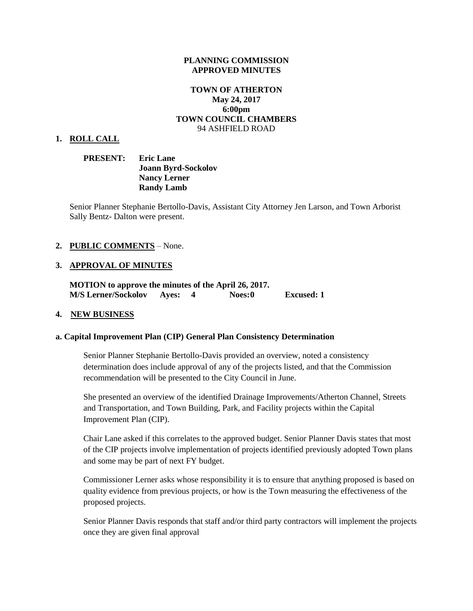#### **PLANNING COMMISSION APPROVED MINUTES**

### **TOWN OF ATHERTON May 24, 2017 6:00pm TOWN COUNCIL CHAMBERS** 94 ASHFIELD ROAD

#### **1. ROLL CALL**

| <b>PRESENT:</b> | <b>Eric Lane</b>           |
|-----------------|----------------------------|
|                 | <b>Joann Byrd-Sockolov</b> |
|                 | <b>Nancy Lerner</b>        |
|                 | <b>Randy Lamb</b>          |

Senior Planner Stephanie Bertollo-Davis, Assistant City Attorney Jen Larson, and Town Arborist Sally Bentz- Dalton were present.

#### **2. PUBLIC COMMENTS** – None.

#### **3. APPROVAL OF MINUTES**

**MOTION to approve the minutes of the April 26, 2017. M/S Lerner/Sockolov Ayes: 4 Noes:0 Excused: 1**

#### **4. NEW BUSINESS**

#### **a. Capital Improvement Plan (CIP) General Plan Consistency Determination**

Senior Planner Stephanie Bertollo-Davis provided an overview, noted a consistency determination does include approval of any of the projects listed, and that the Commission recommendation will be presented to the City Council in June.

She presented an overview of the identified Drainage Improvements/Atherton Channel, Streets and Transportation, and Town Building, Park, and Facility projects within the Capital Improvement Plan (CIP).

Chair Lane asked if this correlates to the approved budget. Senior Planner Davis states that most of the CIP projects involve implementation of projects identified previously adopted Town plans and some may be part of next FY budget.

Commissioner Lerner asks whose responsibility it is to ensure that anything proposed is based on quality evidence from previous projects, or how is the Town measuring the effectiveness of the proposed projects.

Senior Planner Davis responds that staff and/or third party contractors will implement the projects once they are given final approval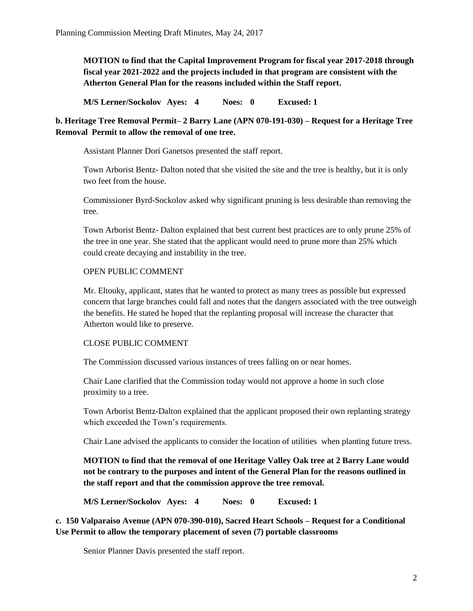**MOTION to find that the Capital Improvement Program for fiscal year 2017-2018 through fiscal year 2021-2022 and the projects included in that program are consistent with the Atherton General Plan for the reasons included within the Staff report.**

**M/S Lerner/Sockolov Ayes: 4 Noes: 0 Excused: 1**

**b. Heritage Tree Removal Permit– 2 Barry Lane (APN 070-191-030) – Request for a Heritage Tree Removal Permit to allow the removal of one tree.**

Assistant Planner Dori Ganetsos presented the staff report.

Town Arborist Bentz- Dalton noted that she visited the site and the tree is healthy, but it is only two feet from the house.

Commissioner Byrd-Sockolov asked why significant pruning is less desirable than removing the tree.

Town Arborist Bentz- Dalton explained that best current best practices are to only prune 25% of the tree in one year. She stated that the applicant would need to prune more than 25% which could create decaying and instability in the tree.

## OPEN PUBLIC COMMENT

Mr. Eltouky, applicant, states that he wanted to protect as many trees as possible but expressed concern that large branches could fall and notes that the dangers associated with the tree outweigh the benefits. He stated he hoped that the replanting proposal will increase the character that Atherton would like to preserve.

# CLOSE PUBLIC COMMENT

The Commission discussed various instances of trees falling on or near homes.

Chair Lane clarified that the Commission today would not approve a home in such close proximity to a tree.

Town Arborist Bentz-Dalton explained that the applicant proposed their own replanting strategy which exceeded the Town's requirements.

Chair Lane advised the applicants to consider the location of utilities when planting future tress.

**MOTION to find that the removal of one Heritage Valley Oak tree at 2 Barry Lane would not be contrary to the purposes and intent of the General Plan for the reasons outlined in the staff report and that the commission approve the tree removal.** 

**M/S Lerner/Sockolov Ayes: 4 Noes: 0 Excused: 1**

**c. 150 Valparaiso Avenue (APN 070-390-010), Sacred Heart Schools – Request for a Conditional Use Permit to allow the temporary placement of seven (7) portable classrooms**

Senior Planner Davis presented the staff report.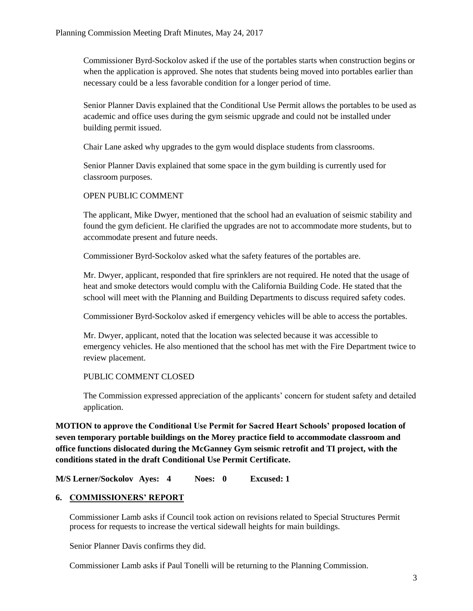Commissioner Byrd-Sockolov asked if the use of the portables starts when construction begins or when the application is approved. She notes that students being moved into portables earlier than necessary could be a less favorable condition for a longer period of time.

Senior Planner Davis explained that the Conditional Use Permit allows the portables to be used as academic and office uses during the gym seismic upgrade and could not be installed under building permit issued.

Chair Lane asked why upgrades to the gym would displace students from classrooms.

Senior Planner Davis explained that some space in the gym building is currently used for classroom purposes.

## OPEN PUBLIC COMMENT

The applicant, Mike Dwyer, mentioned that the school had an evaluation of seismic stability and found the gym deficient. He clarified the upgrades are not to accommodate more students, but to accommodate present and future needs.

Commissioner Byrd-Sockolov asked what the safety features of the portables are.

Mr. Dwyer, applicant, responded that fire sprinklers are not required. He noted that the usage of heat and smoke detectors would complu with the California Building Code. He stated that the school will meet with the Planning and Building Departments to discuss required safety codes.

Commissioner Byrd-Sockolov asked if emergency vehicles will be able to access the portables.

Mr. Dwyer, applicant, noted that the location was selected because it was accessible to emergency vehicles. He also mentioned that the school has met with the Fire Department twice to review placement.

# PUBLIC COMMENT CLOSED

The Commission expressed appreciation of the applicants' concern for student safety and detailed application.

**MOTION to approve the Conditional Use Permit for Sacred Heart Schools' proposed location of seven temporary portable buildings on the Morey practice field to accommodate classroom and office functions dislocated during the McGanney Gym seismic retrofit and TI project, with the conditions stated in the draft Conditional Use Permit Certificate.** 

**M/S Lerner/Sockolov Ayes: 4 Noes: 0 Excused: 1**

### **6. COMMISSIONERS' REPORT**

Commissioner Lamb asks if Council took action on revisions related to Special Structures Permit process for requests to increase the vertical sidewall heights for main buildings.

Senior Planner Davis confirms they did.

Commissioner Lamb asks if Paul Tonelli will be returning to the Planning Commission.